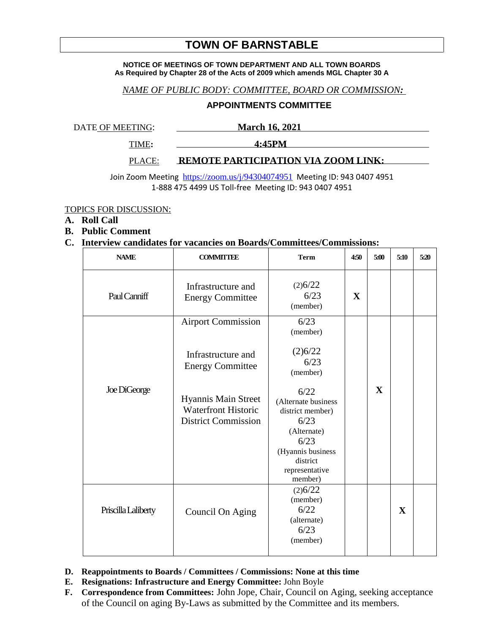# **TOWN OF BARNSTABLE**

#### **NOTICE OF MEETINGS OF TOWN DEPARTMENT AND ALL TOWN BOARDS As Required by Chapter 28 of the Acts of 2009 which amends MGL Chapter 30 A**

## *NAME OF PUBLIC BODY: COMMITTEE, BOARD OR COMMISSION:*

### **APPOINTMENTS COMMITTEE**

DATE OF MEETING: March 16, 2021

TIME**: 4:45PM** 

#### PLACE: **REMOTE PARTICIPATION VIA ZOOM LINK:**

Join Zoom Meeting <https://zoom.us/j/94304074951> Meeting ID: 943 0407 4951 1-888 475 4499 US Toll-free Meeting ID: 943 0407 4951

TOPICS FOR DISCUSSION:

## **A. Roll Call**

**B. Public Comment**

## **C. Interview candidates for vacancies on Boards/Committees/Commissions:**

| <b>NAME</b>         | <b>COMMITTEE</b>                                                                                                                                              | <b>Term</b>                                                                                                                                                                                     | 4:50         | 5:00         | 5:10         | 5:20 |
|---------------------|---------------------------------------------------------------------------------------------------------------------------------------------------------------|-------------------------------------------------------------------------------------------------------------------------------------------------------------------------------------------------|--------------|--------------|--------------|------|
| Paul Canniff        | Infrastructure and<br><b>Energy Committee</b>                                                                                                                 | (2)6/22<br>6/23<br>(member)                                                                                                                                                                     | $\mathbf{X}$ |              |              |      |
| Joe DiGeorge        | <b>Airport Commission</b><br>Infrastructure and<br><b>Energy Committee</b><br>Hyannis Main Street<br><b>Waterfront Historic</b><br><b>District Commission</b> | 6/23<br>(member)<br>(2)6/22<br>6/23<br>(member)<br>6/22<br>(Alternate business<br>district member)<br>6/23<br>(Alternate)<br>6/23<br>(Hyannis business<br>district<br>representative<br>member) |              | $\mathbf{X}$ |              |      |
| Priscilla Laliberty | Council On Aging                                                                                                                                              | (2)6/22<br>(member)<br>6/22<br>(alternate)<br>6/23<br>(member)                                                                                                                                  |              |              | $\mathbf{X}$ |      |

- **D. Reappointments to Boards / Committees / Commissions: None at this time**
- **E. Resignations: Infrastructure and Energy Committee:** John Boyle
- **F. Correspondence from Committees:** John Jope, Chair, Council on Aging, seeking acceptance of the Council on aging By-Laws as submitted by the Committee and its members.